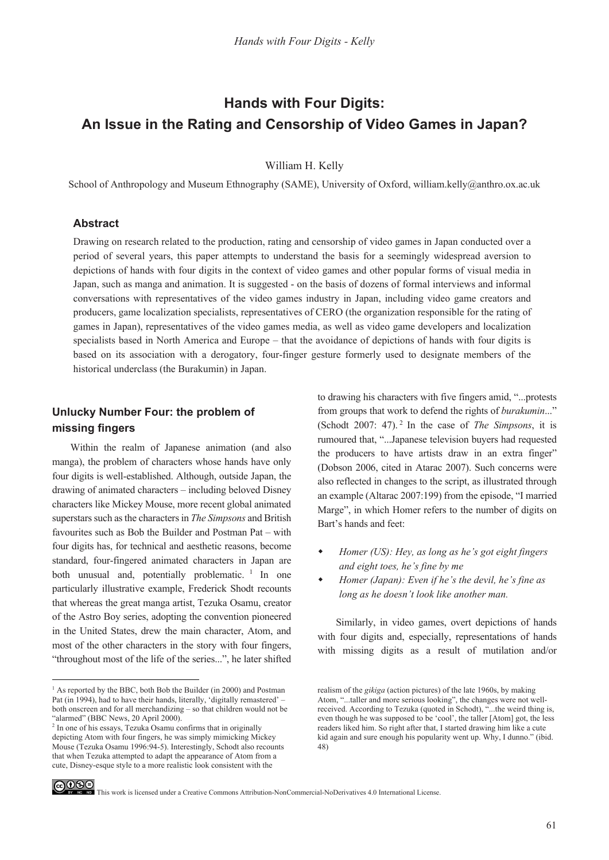# **Hands with Four Digits: An Issue in the Rating and Censorship of Video Games in Japan?**

William H. Kelly

School of Anthropology and Museum Ethnography (SAME), University of Oxford, william.kelly@anthro.ox.ac.uk

#### **Abstract**

Drawing on research related to the production, rating and censorship of video games in Japan conducted over a period of several years, this paper attempts to understand the basis for a seemingly widespread aversion to depictions of hands with four digits in the context of video games and other popular forms of visual media in Japan, such as manga and animation. It is suggested - on the basis of dozens of formal interviews and informal conversations with representatives of the video games industry in Japan, including video game creators and producers, game localization specialists, representatives of CERO (the organization responsible for the rating of games in Japan), representatives of the video games media, as well as video game developers and localization specialists based in North America and Europe – that the avoidance of depictions of hands with four digits is based on its association with a derogatory, four-finger gesture formerly used to designate members of the historical underclass (the Burakumin) in Japan.

## **Unlucky Number Four: the problem of missing fingers**

Within the realm of Japanese animation (and also manga), the problem of characters whose hands have only four digits is well-established. Although, outside Japan, the drawing of animated characters – including beloved Disney characters like Mickey Mouse, more recent global animated superstars such as the characters in *The Simpsons* and British favourites such as Bob the Builder and Postman Pat – with four digits has, for technical and aesthetic reasons, become standard, four-fingered animated characters in Japan are both unusual and, potentially problematic.<sup>1</sup> In one particularly illustrative example, Frederick Shodt recounts that whereas the great manga artist, Tezuka Osamu, creator of the Astro Boy series, adopting the convention pioneered in the United States, drew the main character, Atom, and most of the other characters in the story with four fingers, "throughout most of the life of the series...", he later shifted

to drawing his characters with five fingers amid, "...protests from groups that work to defend the rights of *burakumin*..." (Schodt 2007: 47). 2 In the case of *The Simpsons*, it is rumoured that, "...Japanese television buyers had requested the producers to have artists draw in an extra finger" (Dobson 2006, cited in Atarac 2007). Such concerns were also reflected in changes to the script, as illustrated through an example (Altarac 2007:199) from the episode, "I married Marge", in which Homer refers to the number of digits on Bart's hands and feet:

- *Homer (US): Hey, as long as he's got eight fingers and eight toes, he's fine by me*
- *Homer (Japan): Even if he's the devil, he's fine as long as he doesn't look like another man.*

Similarly, in video games, overt depictions of hands with four digits and, especially, representations of hands with missing digits as a result of mutilation and/or



CO OSO This work is licensed under a Creative Commons Attribution-NonCommercial-NoDerivatives 4.0 International License.

<sup>&</sup>lt;sup>1</sup> As reported by the BBC, both Bob the Builder (in 2000) and Postman Pat (in 1994), had to have their hands, literally, 'digitally remastered' – both onscreen and for all merchandizing – so that children would not be "alarmed" (BBC News, 20 April 2000).

<sup>&</sup>lt;sup>2</sup> In one of his essays, Tezuka Osamu confirms that in originally depicting Atom with four fingers, he was simply mimicking Mickey Mouse (Tezuka Osamu 1996:94-5). Interestingly, Schodt also recounts that when Tezuka attempted to adapt the appearance of Atom from a cute, Disney-esque style to a more realistic look consistent with the

realism of the *gikiga* (action pictures) of the late 1960s, by making Atom, "...taller and more serious looking", the changes were not wellreceived. According to Tezuka (quoted in Schodt), "...the weird thing is, even though he was supposed to be 'cool', the taller [Atom] got, the less readers liked him. So right after that, I started drawing him like a cute kid again and sure enough his popularity went up. Why, I dunno." (ibid. 48)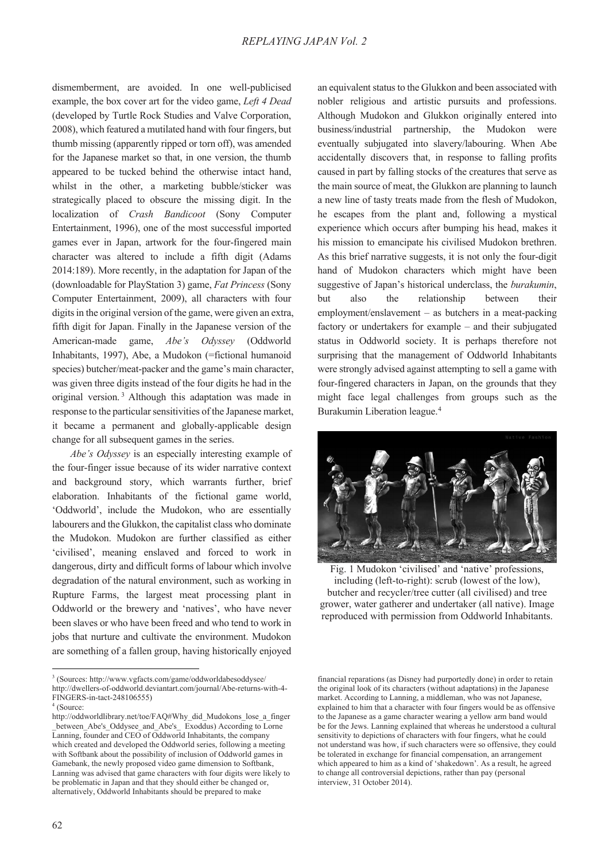dismemberment, are avoided. In one well-publicised example, the box cover art for the video game, *Left 4 Dead*  (developed by Turtle Rock Studies and Valve Corporation, 2008), which featured a mutilated hand with four fingers, but thumb missing (apparently ripped or torn off), was amended for the Japanese market so that, in one version, the thumb appeared to be tucked behind the otherwise intact hand, whilst in the other, a marketing bubble/sticker was strategically placed to obscure the missing digit. In the localization of *Crash Bandicoot* (Sony Computer Entertainment, 1996), one of the most successful imported games ever in Japan, artwork for the four-fingered main character was altered to include a fifth digit (Adams 2014:189). More recently, in the adaptation for Japan of the (downloadable for PlayStation 3) game, *Fat Princess* (Sony Computer Entertainment, 2009), all characters with four digits in the original version of the game, were given an extra, fifth digit for Japan. Finally in the Japanese version of the American-made game, *Abe's Odyssey* (Oddworld Inhabitants, 1997), Abe, a Mudokon (=fictional humanoid species) butcher/meat-packer and the game's main character, was given three digits instead of the four digits he had in the original version. 3 Although this adaptation was made in response to the particular sensitivities of the Japanese market, it became a permanent and globally-applicable design change for all subsequent games in the series.

*Abe's Odyssey* is an especially interesting example of the four-finger issue because of its wider narrative context and background story, which warrants further, brief elaboration. Inhabitants of the fictional game world, 'Oddworld', include the Mudokon, who are essentially labourers and the Glukkon, the capitalist class who dominate the Mudokon. Mudokon are further classified as either 'civilised', meaning enslaved and forced to work in dangerous, dirty and difficult forms of labour which involve degradation of the natural environment, such as working in Rupture Farms, the largest meat processing plant in Oddworld or the brewery and 'natives', who have never been slaves or who have been freed and who tend to work in jobs that nurture and cultivate the environment. Mudokon are something of a fallen group, having historically enjoyed

an equivalent status to the Glukkon and been associated with nobler religious and artistic pursuits and professions. Although Mudokon and Glukkon originally entered into business/industrial partnership, the Mudokon were eventually subjugated into slavery/labouring. When Abe accidentally discovers that, in response to falling profits caused in part by falling stocks of the creatures that serve as the main source of meat, the Glukkon are planning to launch a new line of tasty treats made from the flesh of Mudokon, he escapes from the plant and, following a mystical experience which occurs after bumping his head, makes it his mission to emancipate his civilised Mudokon brethren. As this brief narrative suggests, it is not only the four-digit hand of Mudokon characters which might have been suggestive of Japan's historical underclass, the *burakumin*, but also the relationship between their employment/enslavement – as butchers in a meat-packing factory or undertakers for example – and their subjugated status in Oddworld society. It is perhaps therefore not surprising that the management of Oddworld Inhabitants were strongly advised against attempting to sell a game with four-fingered characters in Japan, on the grounds that they might face legal challenges from groups such as the Burakumin Liberation league.4



Fig. 1 Mudokon 'civilised' and 'native' professions, including (left-to-right): scrub (lowest of the low), butcher and recycler/tree cutter (all civilised) and tree grower, water gatherer and undertaker (all native). Image reproduced with permission from Oddworld Inhabitants.

<sup>3</sup> (Sources: http://www.vgfacts.com/game/oddworldabesoddysee/ http://dwellers-of-oddworld.deviantart.com/journal/Abe-returns-with-4- FINGERS-in-tact-248106555)

<sup>4</sup> (Source:

http://oddworldlibrary.net/toe/FAQ#Why\_did\_Mudokons\_lose\_a\_finger between Abe's Oddysee and Abe's Exoddus) According to Lorne Lanning, founder and CEO of Oddworld Inhabitants, the company which created and developed the Oddworld series, following a meeting with Softbank about the possibility of inclusion of Oddworld games in Gamebank, the newly proposed video game dimension to Softbank, Lanning was advised that game characters with four digits were likely to be problematic in Japan and that they should either be changed or, alternatively, Oddworld Inhabitants should be prepared to make

financial reparations (as Disney had purportedly done) in order to retain the original look of its characters (without adaptations) in the Japanese market. According to Lanning, a middleman, who was not Japanese, explained to him that a character with four fingers would be as offensive to the Japanese as a game character wearing a yellow arm band would be for the Jews. Lanning explained that whereas he understood a cultural sensitivity to depictions of characters with four fingers, what he could not understand was how, if such characters were so offensive, they could be tolerated in exchange for financial compensation, an arrangement which appeared to him as a kind of 'shakedown'. As a result, he agreed to change all controversial depictions, rather than pay (personal interview, 31 October 2014).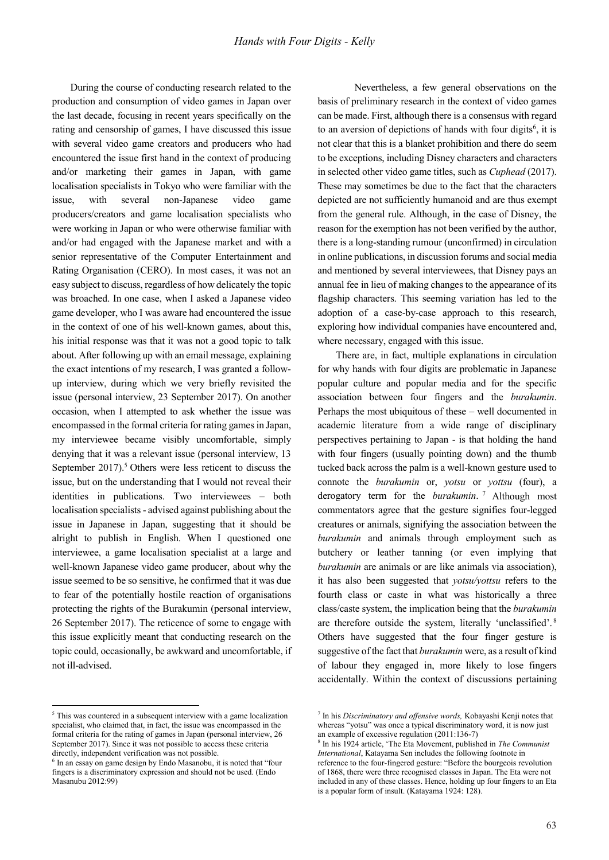During the course of conducting research related to the production and consumption of video games in Japan over the last decade, focusing in recent years specifically on the rating and censorship of games, I have discussed this issue with several video game creators and producers who had encountered the issue first hand in the context of producing and/or marketing their games in Japan, with game localisation specialists in Tokyo who were familiar with the issue, with several non-Japanese video game producers/creators and game localisation specialists who were working in Japan or who were otherwise familiar with and/or had engaged with the Japanese market and with a senior representative of the Computer Entertainment and Rating Organisation (CERO). In most cases, it was not an easy subject to discuss, regardless of how delicately the topic was broached. In one case, when I asked a Japanese video game developer, who I was aware had encountered the issue in the context of one of his well-known games, about this, his initial response was that it was not a good topic to talk about. After following up with an email message, explaining the exact intentions of my research, I was granted a followup interview, during which we very briefly revisited the issue (personal interview, 23 September 2017). On another occasion, when I attempted to ask whether the issue was encompassed in the formal criteria for rating games in Japan, my interviewee became visibly uncomfortable, simply denying that it was a relevant issue (personal interview, 13 September 2017).<sup>5</sup> Others were less reticent to discuss the issue, but on the understanding that I would not reveal their identities in publications. Two interviewees – both localisation specialists - advised against publishing about the issue in Japanese in Japan, suggesting that it should be alright to publish in English. When I questioned one interviewee, a game localisation specialist at a large and well-known Japanese video game producer, about why the issue seemed to be so sensitive, he confirmed that it was due to fear of the potentially hostile reaction of organisations protecting the rights of the Burakumin (personal interview, 26 September 2017). The reticence of some to engage with this issue explicitly meant that conducting research on the topic could, occasionally, be awkward and uncomfortable, if not ill-advised.

<sup>5</sup> This was countered in a subsequent interview with a game localization specialist, who claimed that, in fact, the issue was encompassed in the formal criteria for the rating of games in Japan (personal interview, 26 September 2017). Since it was not possible to access these criteria directly, independent verification was not possible.

 $\overline{a}$ 

 Nevertheless, a few general observations on the basis of preliminary research in the context of video games can be made. First, although there is a consensus with regard to an aversion of depictions of hands with four digits<sup>6</sup>, it is not clear that this is a blanket prohibition and there do seem to be exceptions, including Disney characters and characters in selected other video game titles, such as *Cuphead* (2017). These may sometimes be due to the fact that the characters depicted are not sufficiently humanoid and are thus exempt from the general rule. Although, in the case of Disney, the reason for the exemption has not been verified by the author, there is a long-standing rumour (unconfirmed) in circulation in online publications, in discussion forums and social media and mentioned by several interviewees, that Disney pays an annual fee in lieu of making changes to the appearance of its flagship characters. This seeming variation has led to the adoption of a case-by-case approach to this research, exploring how individual companies have encountered and, where necessary, engaged with this issue.

There are, in fact, multiple explanations in circulation for why hands with four digits are problematic in Japanese popular culture and popular media and for the specific association between four fingers and the *burakumin*. Perhaps the most ubiquitous of these – well documented in academic literature from a wide range of disciplinary perspectives pertaining to Japan - is that holding the hand with four fingers (usually pointing down) and the thumb tucked back across the palm is a well-known gesture used to connote the *burakumin* or, *yotsu* or *yottsu* (four), a derogatory term for the *burakumin*. 7 Although most commentators agree that the gesture signifies four-legged creatures or animals, signifying the association between the *burakumin* and animals through employment such as butchery or leather tanning (or even implying that *burakumin* are animals or are like animals via association), it has also been suggested that *yotsu/yottsu* refers to the fourth class or caste in what was historically a three class/caste system, the implication being that the *burakumin*  are therefore outside the system, literally 'unclassified'. <sup>8</sup> Others have suggested that the four finger gesture is suggestive of the fact that *burakumin* were, as a result of kind of labour they engaged in, more likely to lose fingers accidentally. Within the context of discussions pertaining

 $6$  In an essay on game design by Endo Masanobu, it is noted that "four" fingers is a discriminatory expression and should not be used. (Endo Masanubu 2012:99)

<sup>7</sup> In his *Discriminatory and offensive words,* Kobayashi Kenji notes that whereas "yotsu" was once a typical discriminatory word, it is now just an example of excessive regulation (2011:136-7)

<sup>8</sup> In his 1924 article, 'The Eta Movement, published in *The Communist International*, Katayama Sen includes the following footnote in reference to the four-fingered gesture: "Before the bourgeois revolution of 1868, there were three recognised classes in Japan. The Eta were not included in any of these classes. Hence, holding up four fingers to an Eta is a popular form of insult. (Katayama 1924: 128).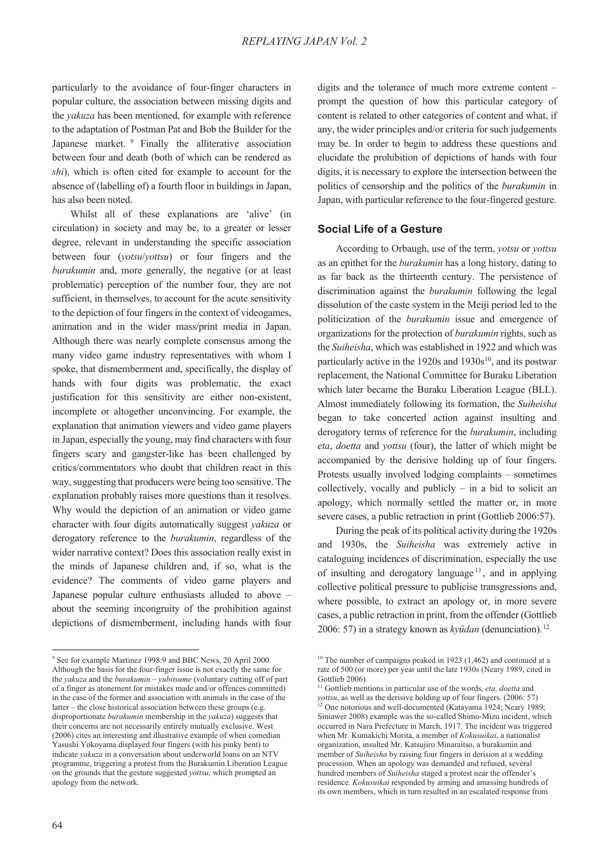particularly to the avoidance of four-finger characters in popular culture, the association between missing digits and the *yakuza* has been mentioned, for example with reference to the adaptation of Postman Pat and Bob the Builder for the Japanese market. <sup>9</sup> Finally the alliterative association between four and death (both of which can be rendered as *shi*), which is often cited for example to account for the absence of (labelling of) a fourth floor in buildings in Japan, has also been noted.

Whilst all of these explanations are 'alive' (in circulation) in society and may be, to a greater or lesser degree, relevant in understanding the specific association between four (*yotsu*/*yottsu*) or four fingers and the *burakumin* and, more generally, the negative (or at least problematic) perception of the number four, they are not sufficient, in themselves, to account for the acute sensitivity to the depiction of four fingers in the context of videogames, animation and in the wider mass/print media in Japan. Although there was nearly complete consensus among the many video game industry representatives with whom I spoke, that dismemberment and, specifically, the display of hands with four digits was problematic, the exact justification for this sensitivity are either non-existent, incomplete or altogether unconvincing. For example, the explanation that animation viewers and video game players in Japan, especially the young, may find characters with four fingers scary and gangster-like has been challenged by critics/commentators who doubt that children react in this way, suggesting that producers were being too sensitive. The explanation probably raises more questions than it resolves. Why would the depiction of an animation or video game character with four digits automatically suggest *yakuza* or derogatory reference to the *burakumin*, regardless of the wider narrative context? Does this association really exist in the minds of Japanese children and, if so, what is the evidence? The comments of video game players and Japanese popular culture enthusiasts alluded to above – about the seeming incongruity of the prohibition against depictions of dismemberment, including hands with four

digits and the tolerance of much more extreme content – prompt the question of how this particular category of content is related to other categories of content and what, if any, the wider principles and/or criteria for such judgements may be. In order to begin to address these questions and elucidate the prohibition of depictions of hands with four digits, it is necessary to explore the intersection between the politics of censorship and the politics of the *burakumin* in Japan, with particular reference to the four-fingered gesture.

#### **Social Life of a Gesture**

According to Orbaugh, use of the term, *yotsu* or *yottsu*  as an epithet for the *burakumin* has a long history, dating to as far back as the thirteenth century. The persistence of discrimination against the *burakumin* following the legal dissolution of the caste system in the Meiji period led to the politicization of the *burakumin* issue and emergence of organizations for the protection of *burakumin* rights, such as the *Suiheisha*, which was established in 1922 and which was particularly active in the 1920s and  $1930s^{10}$ , and its postwar replacement, the National Committee for Buraku Liberation which later became the Buraku Liberation League (BLL). Almost immediately following its formation, the *Suiheisha*  began to take concerted action against insulting and derogatory terms of reference for the *burakumin*, including *eta*, *doetta* and *yottsu* (four), the latter of which might be accompanied by the derisive holding up of four fingers. Protests usually involved lodging complaints – sometimes collectively, vocally and publicly  $-$  in a bid to solicit an apology, which normally settled the matter or, in more severe cases, a public retraction in print (Gottlieb 2006:57).

During the peak of its political activity during the 1920s and 1930s, the *Suiheisha* was extremely active in cataloguing incidences of discrimination, especially the use of insulting and derogatory language<sup> $11$ </sup>, and in applying collective political pressure to publicise transgressions and, where possible, to extract an apology or, in more severe cases, a public retraction in print, from the offender (Gottlieb 2006: 57) in a strategy known as *kyûdan* (denunciation).12

<sup>&</sup>lt;sup>9</sup> See for example Martinez 1998:9 and BBC News, 20 April 2000. Although the basis for the four-finger issue is not exactly the same for the *yakuza* and the *burakumin* – *yubitsume* (voluntary cutting off of part of a finger as atonement for mistakes made and/or offences committed) in the case of the former and association with animals in the case of the latter – the close historical association between these groups (e.g. disproportionate *burakumin* membership in the *yakuza*) suggests that their concerns are not necessarily entirely mutually exclusive. West (2006) cites an interesting and illustrative example of when comedian Yasushi Yokoyama displayed four fingers (with his pinky bent) to indicate *yakuza* in a conversation about underworld loans on an NTV programme, triggering a protest from the Burakumin Liberation League on the grounds that the gesture suggested *yottsu,* which prompted an apology from the network.

 $10$  The number of campaigns peaked in 1923 (1,462) and continued at a rate of 500 (or more) per year until the late 1930s (Neary 1989, cited in Gottlieb 2006).

<sup>11</sup> Gottlieb mentions in particular use of the words, *eta, doetta* and *yottsu*, as well as the derisive holding up of four fingers. (2006: 57) <sup>12</sup> One notorious and well-documented (Katayama 1924; Neary 1989; Siniawer 2008) example was the so-called Shimo-Mizu incident, which occurred in Nara Prefecture in March, 1917. The incident was triggered when Mr. Kumakichi Morita, a member of *Kokusuikai*, a nationalist organization, insulted Mr. Katsujiro Minaraitso, a burakumin and member of *Suiheisha* by raising four fingers in derision at a wedding procession. When an apology was demanded and refused, several hundred members of *Suiheisha* staged a protest near the offender's residence. *Kokusuikai* responded by arming and amassing hundreds of its own members, which in turn resulted in an escalated response from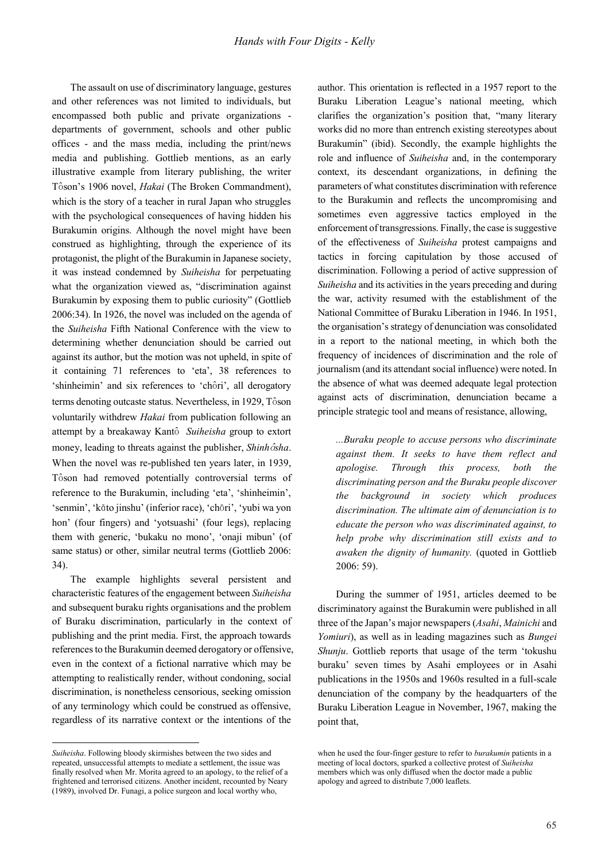The assault on use of discriminatory language, gestures and other references was not limited to individuals, but encompassed both public and private organizations departments of government, schools and other public offices - and the mass media, including the print/news media and publishing. Gottlieb mentions, as an early illustrative example from literary publishing, the writer Tôson's 1906 novel, *Hakai* (The Broken Commandment), which is the story of a teacher in rural Japan who struggles with the psychological consequences of having hidden his Burakumin origins. Although the novel might have been construed as highlighting, through the experience of its protagonist, the plight of the Burakumin in Japanese society, it was instead condemned by *Suiheisha* for perpetuating what the organization viewed as, "discrimination against Burakumin by exposing them to public curiosity" (Gottlieb 2006:34). In 1926, the novel was included on the agenda of the *Suiheisha* Fifth National Conference with the view to determining whether denunciation should be carried out against its author, but the motion was not upheld, in spite of it containing 71 references to 'eta', 38 references to 'shinheimin' and six references to 'chôri', all derogatory terms denoting outcaste status. Nevertheless, in 1929, Tôson voluntarily withdrew *Hakai* from publication following an attempt by a breakaway Kantô Suiheisha group to extort money, leading to threats against the publisher, *Shinh ôsha*. When the novel was re-published ten years later, in 1939, Tôson had removed potentially controversial terms of reference to the Burakumin, including 'eta', 'shinheimin', 'senmin', 'kāto jinshu' (inferior race), 'chōri', 'yubi wa yon hon' (four fingers) and 'yotsuashi' (four legs), replacing them with generic, 'bukaku no mono', 'onaji mibun' (of same status) or other, similar neutral terms (Gottlieb 2006: 34).

The example highlights several persistent and characteristic features of the engagement between *Suiheisha*  and subsequent buraku rights organisations and the problem of Buraku discrimination, particularly in the context of publishing and the print media. First, the approach towards references to the Burakumin deemed derogatory or offensive, even in the context of a fictional narrative which may be attempting to realistically render, without condoning, social discrimination, is nonetheless censorious, seeking omission of any terminology which could be construed as offensive, regardless of its narrative context or the intentions of the

 $\overline{a}$ 

author. This orientation is reflected in a 1957 report to the Buraku Liberation League's national meeting, which clarifies the organization's position that, "many literary works did no more than entrench existing stereotypes about Burakumin" (ibid). Secondly, the example highlights the role and influence of *Suiheisha* and, in the contemporary context, its descendant organizations, in defining the parameters of what constitutes discrimination with reference to the Burakumin and reflects the uncompromising and sometimes even aggressive tactics employed in the enforcement of transgressions. Finally, the case is suggestive of the effectiveness of *Suiheisha* protest campaigns and tactics in forcing capitulation by those accused of discrimination. Following a period of active suppression of *Suiheisha* and its activities in the years preceding and during the war, activity resumed with the establishment of the National Committee of Buraku Liberation in 1946. In 1951, the organisation's strategy of denunciation was consolidated in a report to the national meeting, in which both the frequency of incidences of discrimination and the role of journalism (and its attendant social influence) were noted. In the absence of what was deemed adequate legal protection against acts of discrimination, denunciation became a principle strategic tool and means of resistance, allowing,

*...Buraku people to accuse persons who discriminate against them. It seeks to have them reflect and apologise. Through this process, both the discriminating person and the Buraku people discover the background in society which produces discrimination. The ultimate aim of denunciation is to educate the person who was discriminated against, to help probe why discrimination still exists and to awaken the dignity of humanity.* (quoted in Gottlieb 2006: 59).

During the summer of 1951, articles deemed to be discriminatory against the Burakumin were published in all three of the Japan's major newspapers (*Asahi*, *Mainichi* and *Yomiuri*), as well as in leading magazines such as *Bungei Shunju*. Gottlieb reports that usage of the term 'tokushu buraku' seven times by Asahi employees or in Asahi publications in the 1950s and 1960s resulted in a full-scale denunciation of the company by the headquarters of the Buraku Liberation League in November, 1967, making the point that,

*Suiheisha*. Following bloody skirmishes between the two sides and repeated, unsuccessful attempts to mediate a settlement, the issue was finally resolved when Mr. Morita agreed to an apology, to the relief of a frightened and terrorised citizens. Another incident, recounted by Neary (1989), involved Dr. Funagi, a police surgeon and local worthy who,

when he used the four-finger gesture to refer to *burakumin* patients in a meeting of local doctors, sparked a collective protest of *Suiheisha*  members which was only diffused when the doctor made a public apology and agreed to distribute 7,000 leaflets.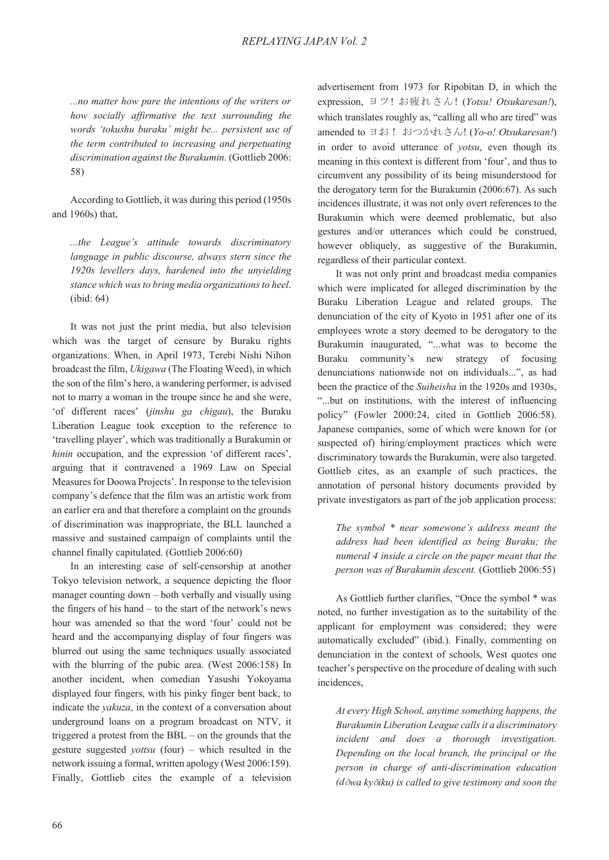*...no matter how pure the intentions of the writers or how socially affirmative the text surrounding the words 'tokushu buraku' might be... persistent use of the term contributed to increasing and perpetuating discrimination against the Burakumin.* (Gottlieb 2006: 58)

According to Gottlieb, it was during this period (1950s and 1960s) that,

*...the League's attitude towards discriminatory language in public discourse, always stern since the 1920s levellers days, hardened into the unyielding stance which was to bring media organizations to heel*. (ibid: 64)

It was not just the print media, but also television which was the target of censure by Buraku rights organizations. When, in April 1973, Terebi Nishi Nihon broadcast the film, *Ukigawa* (The Floating Weed), in which the son of the film's hero, a wandering performer, is advised not to marry a woman in the troupe since he and she were, 'of different races' (*jinshu ga chigau*), the Buraku Liberation League took exception to the reference to 'travelling player', which was traditionally a Burakumin or *hinin* occupation, and the expression 'of different races', arguing that it contravened a 1969 Law on Special Measures for Doowa Projects'. In response to the television company's defence that the film was an artistic work from an earlier era and that therefore a complaint on the grounds of discrimination was inappropriate, the BLL launched a massive and sustained campaign of complaints until the channel finally capitulated. (Gottlieb 2006:60)

In an interesting case of self-censorship at another Tokyo television network, a sequence depicting the floor manager counting down – both verbally and visually using the fingers of his hand – to the start of the network's news hour was amended so that the word 'four' could not be heard and the accompanying display of four fingers was blurred out using the same techniques usually associated with the blurring of the pubic area. (West 2006:158) In another incident, when comedian Yasushi Yokoyama displayed four fingers, with his pinky finger bent back, to indicate the *yakuza*, in the context of a conversation about underground loans on a program broadcast on NTV, it triggered a protest from the BBL – on the grounds that the gesture suggested *yottsu* (four) – which resulted in the network issuing a formal, written apology (West 2006:159). Finally, Gottlieb cites the example of a television

advertisement from 1973 for Ripobitan D, in which the expression, ヨツ! お疲れさん! (Yotsu! Otsukaresan!), which translates roughly as, "calling all who are tired" was amended to ヨお! おつかれさん! (Yo-o! Otsukaresan!) in order to avoid utterance of *yotsu*, even though its meaning in this context is different from 'four', and thus to circumvent any possibility of its being misunderstood for the derogatory term for the Burakumin (2006:67). As such incidences illustrate, it was not only overt references to the Burakumin which were deemed problematic, but also gestures and/or utterances which could be construed, however obliquely, as suggestive of the Burakumin, regardless of their particular context.

It was not only print and broadcast media companies which were implicated for alleged discrimination by the Buraku Liberation League and related groups. The denunciation of the city of Kyoto in 1951 after one of its employees wrote a story deemed to be derogatory to the Burakumin inaugurated, "...what was to become the Buraku community's new strategy of focusing denunciations nationwide not on individuals...", as had been the practice of the *Suiheisha* in the 1920s and 1930s, "...but on institutions, with the interest of influencing policy" (Fowler 2000:24, cited in Gottlieb 2006:58). Japanese companies, some of which were known for (or suspected of) hiring/employment practices which were discriminatory towards the Burakumin, were also targeted. Gottlieb cites, as an example of such practices, the annotation of personal history documents provided by private investigators as part of the job application process:

*The symbol \* near somewone's address meant the address had been identified as being Buraku; the numeral 4 inside a circle on the paper meant that the person was of Burakumin descent.* (Gottlieb 2006:55)

As Gottlieb further clarifies, "Once the symbol \* was noted, no further investigation as to the suitability of the applicant for employment was considered; they were automatically excluded" (ibid.). Finally, commenting on denunciation in the context of schools, West quotes one teacher's perspective on the procedure of dealing with such incidences,

*At every High School, anytime something happens, the Burakumin Liberation League calls it a discriminatory incident and does a thorough investigation. Depending on the local branch, the principal or the person in charge of anti-discrimination education (d*|*wa ky*|*iku) is called to give testimony and soon the*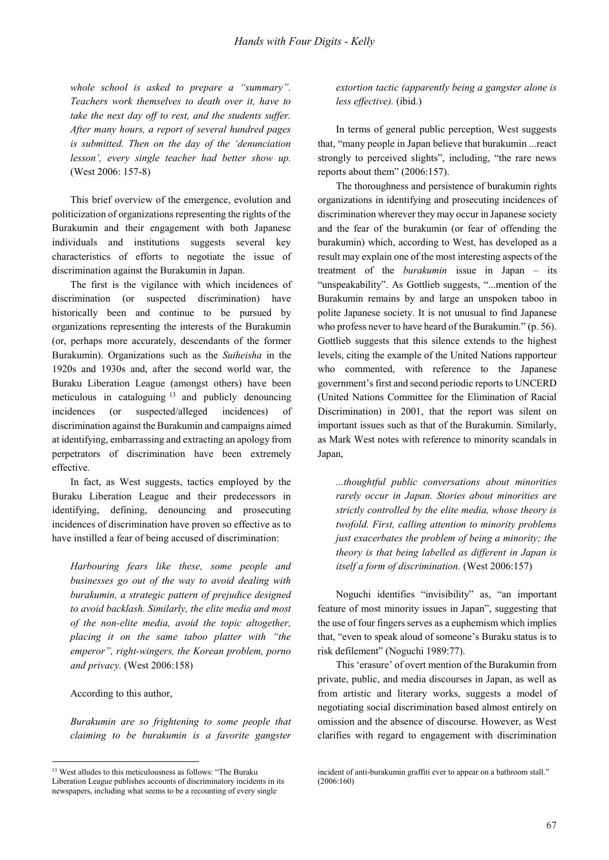*whole school is asked to prepare a "summary". Teachers work themselves to death over it, have to take the next day off to rest, and the students suffer. After many hours, a report of several hundred pages is submitted. Then on the day of the 'denunciation lesson', every single teacher had better show up.*  (West 2006: 157-8)

This brief overview of the emergence, evolution and politicization of organizations representing the rights of the Burakumin and their engagement with both Japanese individuals and institutions suggests several key characteristics of efforts to negotiate the issue of discrimination against the Burakumin in Japan.

The first is the vigilance with which incidences of discrimination (or suspected discrimination) have historically been and continue to be pursued by organizations representing the interests of the Burakumin (or, perhaps more accurately, descendants of the former Burakumin). Organizations such as the *Suiheisha* in the 1920s and 1930s and, after the second world war, the Buraku Liberation League (amongst others) have been meticulous in cataloguing 13 and publicly denouncing incidences (or suspected/alleged incidences) of discrimination against the Burakumin and campaigns aimed at identifying, embarrassing and extracting an apology from perpetrators of discrimination have been extremely effective.

In fact, as West suggests, tactics employed by the Buraku Liberation League and their predecessors in identifying, defining, denouncing and prosecuting incidences of discrimination have proven so effective as to have instilled a fear of being accused of discrimination:

*Harbouring fears like these, some people and businesses go out of the way to avoid dealing with burakumin, a strategic pattern of prejudice designed to avoid backlash. Similarly, the elite media and most of the non-elite media, avoid the topic altogether, placing it on the same taboo platter with "the emperor", right-wingers, the Korean problem, porno and privacy.* (West 2006:158)

#### According to this author,

 $\overline{a}$ 

*Burakumin are so frightening to some people that claiming to be burakumin is a favorite gangster*  *extortion tactic (apparently being a gangster alone is less effective).* (ibid.)

In terms of general public perception, West suggests that, "many people in Japan believe that burakumin ...react strongly to perceived slights", including, "the rare news reports about them" (2006:157).

The thoroughness and persistence of burakumin rights organizations in identifying and prosecuting incidences of discrimination wherever they may occur in Japanese society and the fear of the burakumin (or fear of offending the burakumin) which, according to West, has developed as a result may explain one of the most interesting aspects of the treatment of the *burakumin* issue in Japan – its "unspeakability". As Gottlieb suggests, "...mention of the Burakumin remains by and large an unspoken taboo in polite Japanese society. It is not unusual to find Japanese who profess never to have heard of the Burakumin." (p. 56). Gottlieb suggests that this silence extends to the highest levels, citing the example of the United Nations rapporteur who commented, with reference to the Japanese government's first and second periodic reports to UNCERD (United Nations Committee for the Elimination of Racial Discrimination) in 2001, that the report was silent on important issues such as that of the Burakumin. Similarly, as Mark West notes with reference to minority scandals in Japan,

*...thoughtful public conversations about minorities rarely occur in Japan. Stories about minorities are strictly controlled by the elite media, whose theory is twofold. First, calling attention to minority problems just exacerbates the problem of being a minority; the theory is that being labelled as different in Japan is itself a form of discrimination.* (West 2006:157)

Noguchi identifies "invisibility" as, "an important feature of most minority issues in Japan", suggesting that the use of four fingers serves as a euphemism which implies that, "even to speak aloud of someone's Buraku status is to risk defilement" (Noguchi 1989:77).

This 'erasure' of overt mention of the Burakumin from private, public, and media discourses in Japan, as well as from artistic and literary works, suggests a model of negotiating social discrimination based almost entirely on omission and the absence of discourse. However, as West clarifies with regard to engagement with discrimination

<sup>&</sup>lt;sup>13</sup> West alludes to this meticulousness as follows: "The Buraku Liberation League publishes accounts of discriminatory incidents in its newspapers, including what seems to be a recounting of every single

incident of anti-burakumin graffiti ever to appear on a bathroom stall." (2006:160)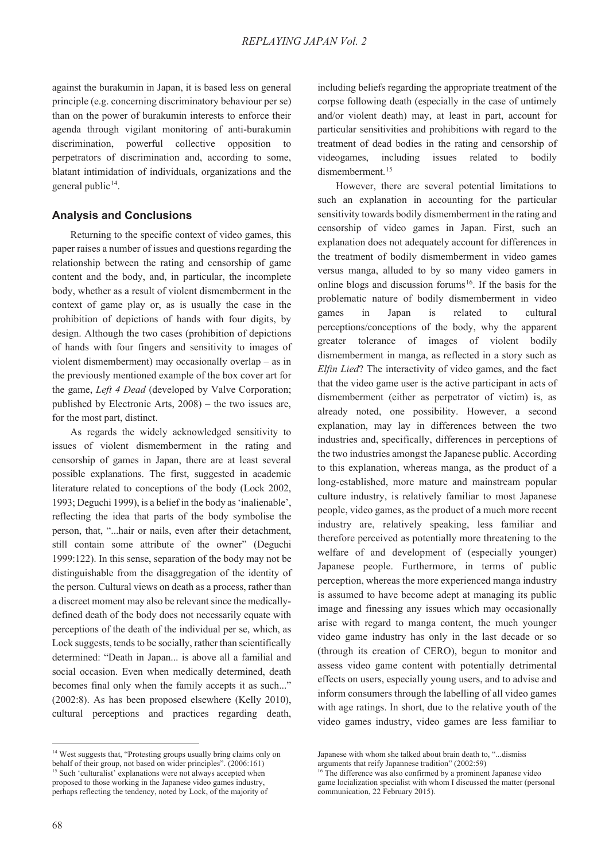against the burakumin in Japan, it is based less on general principle (e.g. concerning discriminatory behaviour per se) than on the power of burakumin interests to enforce their agenda through vigilant monitoring of anti-burakumin discrimination, powerful collective opposition to perpetrators of discrimination and, according to some, blatant intimidation of individuals, organizations and the general public<sup>14</sup>.

#### **Analysis and Conclusions**

Returning to the specific context of video games, this paper raises a number of issues and questions regarding the relationship between the rating and censorship of game content and the body, and, in particular, the incomplete body, whether as a result of violent dismemberment in the context of game play or, as is usually the case in the prohibition of depictions of hands with four digits, by design. Although the two cases (prohibition of depictions of hands with four fingers and sensitivity to images of violent dismemberment) may occasionally overlap – as in the previously mentioned example of the box cover art for the game, *Left 4 Dead* (developed by Valve Corporation; published by Electronic Arts, 2008) – the two issues are, for the most part, distinct.

As regards the widely acknowledged sensitivity to issues of violent dismemberment in the rating and censorship of games in Japan, there are at least several possible explanations. The first, suggested in academic literature related to conceptions of the body (Lock 2002, 1993; Deguchi 1999), is a belief in the body as 'inalienable', reflecting the idea that parts of the body symbolise the person, that, "...hair or nails, even after their detachment, still contain some attribute of the owner" (Deguchi 1999:122). In this sense, separation of the body may not be distinguishable from the disaggregation of the identity of the person. Cultural views on death as a process, rather than a discreet moment may also be relevant since the medicallydefined death of the body does not necessarily equate with perceptions of the death of the individual per se, which, as Lock suggests, tends to be socially, rather than scientifically determined: "Death in Japan... is above all a familial and social occasion. Even when medically determined, death becomes final only when the family accepts it as such..." (2002:8). As has been proposed elsewhere (Kelly 2010), cultural perceptions and practices regarding death,

<sup>14</sup> West suggests that, "Protesting groups usually bring claims only on behalf of their group, not based on wider principles". (2006:161) <sup>15</sup> Such 'culturalist' explanations were not always accepted when proposed to those working in the Japanese video games industry, perhaps reflecting the tendency, noted by Lock, of the majority of

including beliefs regarding the appropriate treatment of the corpse following death (especially in the case of untimely and/or violent death) may, at least in part, account for particular sensitivities and prohibitions with regard to the treatment of dead bodies in the rating and censorship of videogames, including issues related to bodily dismemberment.<sup>15</sup>

However, there are several potential limitations to such an explanation in accounting for the particular sensitivity towards bodily dismemberment in the rating and censorship of video games in Japan. First, such an explanation does not adequately account for differences in the treatment of bodily dismemberment in video games versus manga, alluded to by so many video gamers in online blogs and discussion forums<sup>16</sup>. If the basis for the problematic nature of bodily dismemberment in video games in Japan is related to cultural perceptions/conceptions of the body, why the apparent greater tolerance of images of violent bodily dismemberment in manga, as reflected in a story such as *Elfin Lied*? The interactivity of video games, and the fact that the video game user is the active participant in acts of dismemberment (either as perpetrator of victim) is, as already noted, one possibility. However, a second explanation, may lay in differences between the two industries and, specifically, differences in perceptions of the two industries amongst the Japanese public. According to this explanation, whereas manga, as the product of a long-established, more mature and mainstream popular culture industry, is relatively familiar to most Japanese people, video games, as the product of a much more recent industry are, relatively speaking, less familiar and therefore perceived as potentially more threatening to the welfare of and development of (especially younger) Japanese people. Furthermore, in terms of public perception, whereas the more experienced manga industry is assumed to have become adept at managing its public image and finessing any issues which may occasionally arise with regard to manga content, the much younger video game industry has only in the last decade or so (through its creation of CERO), begun to monitor and assess video game content with potentially detrimental effects on users, especially young users, and to advise and inform consumers through the labelling of all video games with age ratings. In short, due to the relative youth of the video games industry, video games are less familiar to

Japanese with whom she talked about brain death to, "...dismiss

arguments that reify Japannese tradition" (2002:59)

<sup>&</sup>lt;sup>16</sup> The difference was also confirmed by a prominent Japanese video game locialization specialist with whom I discussed the matter (personal communication, 22 February 2015).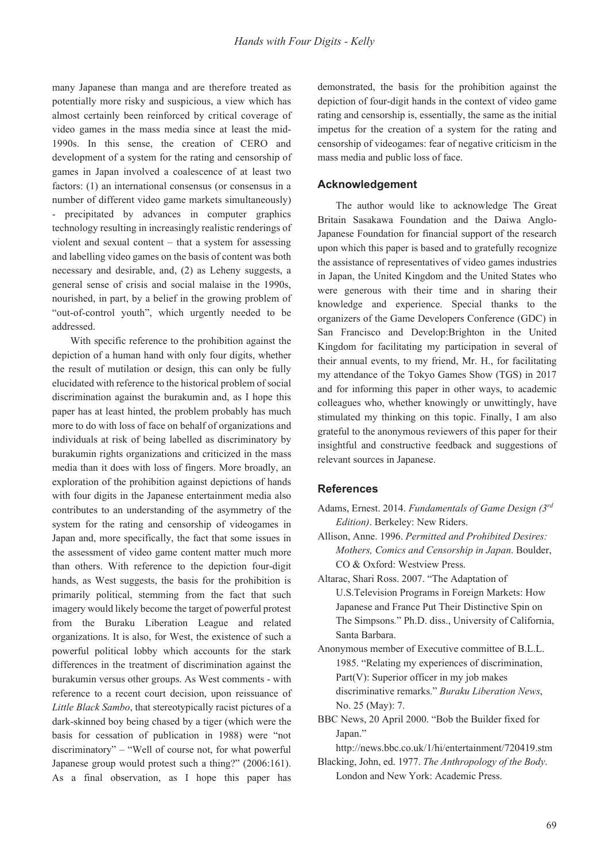many Japanese than manga and are therefore treated as potentially more risky and suspicious, a view which has almost certainly been reinforced by critical coverage of video games in the mass media since at least the mid-1990s. In this sense, the creation of CERO and development of a system for the rating and censorship of games in Japan involved a coalescence of at least two factors: (1) an international consensus (or consensus in a number of different video game markets simultaneously) - precipitated by advances in computer graphics technology resulting in increasingly realistic renderings of violent and sexual content – that a system for assessing and labelling video games on the basis of content was both necessary and desirable, and, (2) as Leheny suggests, a general sense of crisis and social malaise in the 1990s, nourished, in part, by a belief in the growing problem of "out-of-control youth", which urgently needed to be addressed.

With specific reference to the prohibition against the depiction of a human hand with only four digits, whether the result of mutilation or design, this can only be fully elucidated with reference to the historical problem of social discrimination against the burakumin and, as I hope this paper has at least hinted, the problem probably has much more to do with loss of face on behalf of organizations and individuals at risk of being labelled as discriminatory by burakumin rights organizations and criticized in the mass media than it does with loss of fingers. More broadly, an exploration of the prohibition against depictions of hands with four digits in the Japanese entertainment media also contributes to an understanding of the asymmetry of the system for the rating and censorship of videogames in Japan and, more specifically, the fact that some issues in the assessment of video game content matter much more than others. With reference to the depiction four-digit hands, as West suggests, the basis for the prohibition is primarily political, stemming from the fact that such imagery would likely become the target of powerful protest from the Buraku Liberation League and related organizations. It is also, for West, the existence of such a powerful political lobby which accounts for the stark differences in the treatment of discrimination against the burakumin versus other groups. As West comments - with reference to a recent court decision, upon reissuance of *Little Black Sambo*, that stereotypically racist pictures of a dark-skinned boy being chased by a tiger (which were the basis for cessation of publication in 1988) were "not discriminatory" – "Well of course not, for what powerful Japanese group would protest such a thing?" (2006:161). As a final observation, as I hope this paper has

demonstrated, the basis for the prohibition against the depiction of four-digit hands in the context of video game rating and censorship is, essentially, the same as the initial impetus for the creation of a system for the rating and censorship of videogames: fear of negative criticism in the mass media and public loss of face.

## **Acknowledgement**

The author would like to acknowledge The Great Britain Sasakawa Foundation and the Daiwa Anglo-Japanese Foundation for financial support of the research upon which this paper is based and to gratefully recognize the assistance of representatives of video games industries in Japan, the United Kingdom and the United States who were generous with their time and in sharing their knowledge and experience. Special thanks to the organizers of the Game Developers Conference (GDC) in San Francisco and Develop:Brighton in the United Kingdom for facilitating my participation in several of their annual events, to my friend, Mr. H., for facilitating my attendance of the Tokyo Games Show (TGS) in 2017 and for informing this paper in other ways, to academic colleagues who, whether knowingly or unwittingly, have stimulated my thinking on this topic. Finally, I am also grateful to the anonymous reviewers of this paper for their insightful and constructive feedback and suggestions of relevant sources in Japanese.

## **References**

- Adams, Ernest. 2014. *Fundamentals of Game Design (3rd Edition)*. Berkeley: New Riders.
- Allison, Anne. 1996. *Permitted and Prohibited Desires: Mothers, Comics and Censorship in Japan*. Boulder, CO & Oxford: Westview Press.
- Altarac, Shari Ross. 2007. "The Adaptation of U.S.Television Programs in Foreign Markets: How Japanese and France Put Their Distinctive Spin on The Simpsons*.*" Ph.D. diss., University of California, Santa Barbara.
- Anonymous member of Executive committee of B.L.L. 1985. "Relating my experiences of discrimination, Part(V): Superior officer in my job makes discriminative remarks." *Buraku Liberation News*, No. 25 (May): 7.
- BBC News, 20 April 2000. "Bob the Builder fixed for Japan."
- http://news.bbc.co.uk/1/hi/entertainment/720419.stm Blacking, John, ed. 1977. *The Anthropology of the Body*.

London and New York: Academic Press.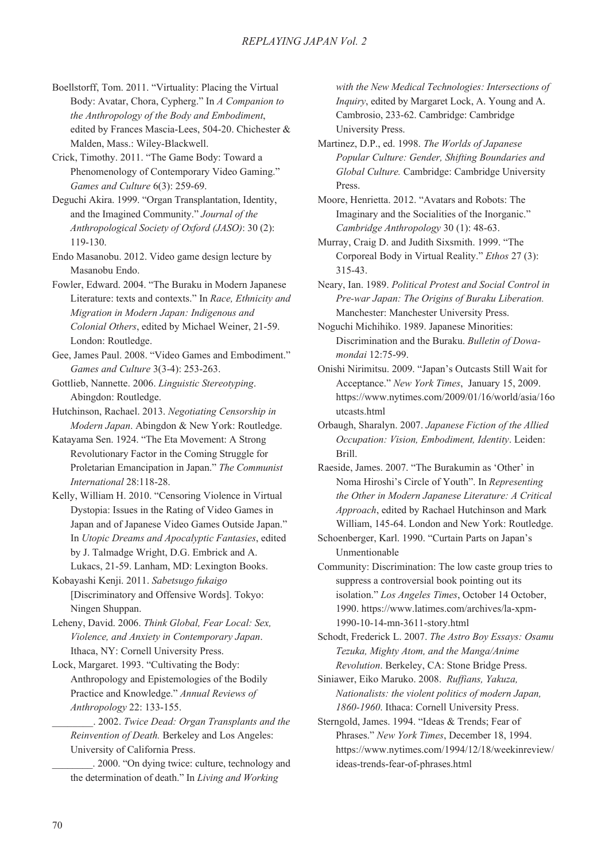- Boellstorff, Tom. 2011. "Virtuality: Placing the Virtual Body: Avatar, Chora, Cypherg." In *A Companion to the Anthropology of the Body and Embodiment*, edited by Frances Mascia-Lees, 504-20. Chichester & Malden, Mass.: Wiley-Blackwell.
- Crick, Timothy. 2011. "The Game Body: Toward a Phenomenology of Contemporary Video Gaming." *Games and Culture* 6(3): 259-69.
- Deguchi Akira. 1999. "Organ Transplantation, Identity, and the Imagined Community." *Journal of the Anthropological Society of Oxford (JASO)*: 30 (2): 119-130.
- Endo Masanobu. 2012. Video game design lecture by Masanobu Endo.
- Fowler, Edward. 2004. "The Buraku in Modern Japanese Literature: texts and contexts." In *Race, Ethnicity and Migration in Modern Japan: Indigenous and Colonial Others*, edited by Michael Weiner, 21-59. London: Routledge.
- Gee, James Paul. 2008. "Video Games and Embodiment." *Games and Culture* 3(3-4): 253-263.
- Gottlieb, Nannette. 2006. *Linguistic Stereotyping*. Abingdon: Routledge.
- Hutchinson, Rachael. 2013. *Negotiating Censorship in Modern Japan*. Abingdon & New York: Routledge.
- Katayama Sen. 1924. "The Eta Movement: A Strong Revolutionary Factor in the Coming Struggle for Proletarian Emancipation in Japan." *The Communist International* 28:118-28.
- Kelly, William H. 2010. "Censoring Violence in Virtual Dystopia: Issues in the Rating of Video Games in Japan and of Japanese Video Games Outside Japan." In *Utopic Dreams and Apocalyptic Fantasies*, edited by J. Talmadge Wright, D.G. Embrick and A. Lukacs, 21-59. Lanham, MD: Lexington Books.
- Kobayashi Kenji. 2011. *Sabetsugo fukaigo*  [Discriminatory and Offensive Words]. Tokyo: Ningen Shuppan.
- Leheny, David. 2006. *Think Global, Fear Local: Sex, Violence, and Anxiety in Contemporary Japan*. Ithaca, NY: Cornell University Press.
- Lock, Margaret. 1993. "Cultivating the Body: Anthropology and Epistemologies of the Bodily Practice and Knowledge." *Annual Reviews of Anthropology* 22: 133-155.

\_\_\_\_\_\_\_\_. 2002. *Twice Dead: Organ Transplants and the Reinvention of Death.* Berkeley and Los Angeles: University of California Press.

\_\_\_\_\_\_\_\_. 2000. "On dying twice: culture, technology and the determination of death." In *Living and Working* 

*with the New Medical Technologies: Intersections of Inquiry*, edited by Margaret Lock, A. Young and A. Cambrosio, 233-62. Cambridge: Cambridge University Press.

- Martinez, D.P., ed. 1998. *The Worlds of Japanese Popular Culture: Gender, Shifting Boundaries and Global Culture.* Cambridge: Cambridge University Press.
- Moore, Henrietta. 2012. "Avatars and Robots: The Imaginary and the Socialities of the Inorganic." *Cambridge Anthropology* 30 (1): 48-63.
- Murray, Craig D. and Judith Sixsmith. 1999. "The Corporeal Body in Virtual Reality." *Ethos* 27 (3): 315-43.
- Neary, Ian. 1989. *Political Protest and Social Control in Pre-war Japan: The Origins of Buraku Liberation.*  Manchester: Manchester University Press.
- Noguchi Michihiko. 1989. Japanese Minorities: Discrimination and the Buraku. *Bulletin of Dowamondai* 12:75-99.
- Onishi Nirimitsu. 2009. "Japan's Outcasts Still Wait for Acceptance." *New York Times*, January 15, 2009. https://www.nytimes.com/2009/01/16/world/asia/16o utcasts.html
- Orbaugh, Sharalyn. 2007. *Japanese Fiction of the Allied Occupation: Vision, Embodiment, Identity*. Leiden: Brill.
- Raeside, James. 2007. "The Burakumin as 'Other' in Noma Hiroshi's Circle of Youth". In *Representing the Other in Modern Japanese Literature: A Critical Approach*, edited by Rachael Hutchinson and Mark William, 145-64. London and New York: Routledge.
- Schoenberger, Karl. 1990. "Curtain Parts on Japan's Unmentionable
- Community: Discrimination: The low caste group tries to suppress a controversial book pointing out its isolation." *Los Angeles Times*, October 14 October, 1990. https://www.latimes.com/archives/la-xpm-1990-10-14-mn-3611-story.html
- Schodt, Frederick L. 2007. *The Astro Boy Essays: Osamu Tezuka, Mighty Atom, and the Manga/Anime Revolution*. Berkeley, CA: Stone Bridge Press.
- Siniawer, Eiko Maruko. 2008. *Ruffians, Yakuza, Nationalists: the violent politics of modern Japan, 1860-1960*. Ithaca: Cornell University Press.
- Sterngold, James. 1994. "Ideas & Trends; Fear of Phrases." *New York Times*, December 18, 1994. https://www.nytimes.com/1994/12/18/weekinreview/ ideas-trends-fear-of-phrases.html